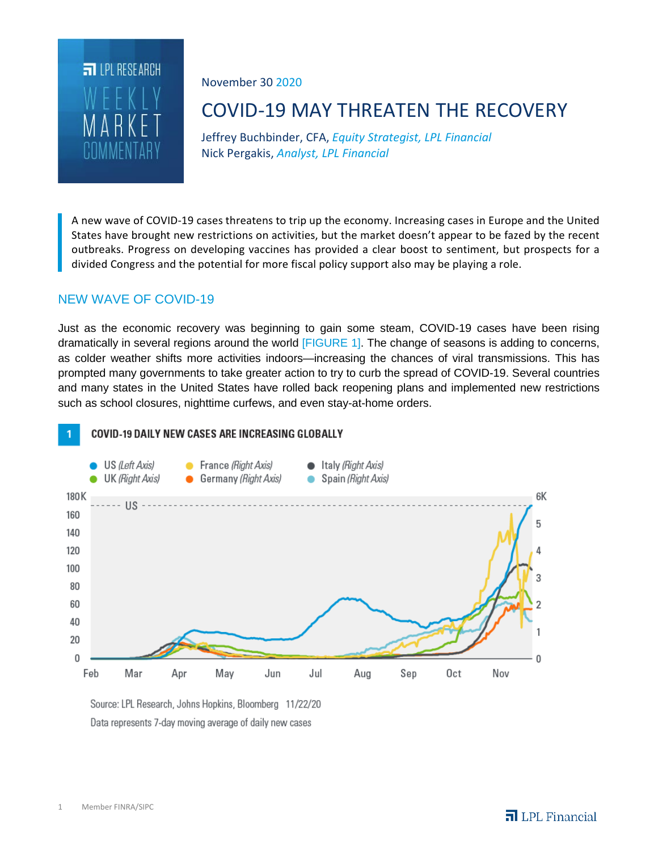

November 30 2020

# COVID-19 MAY THREATEN THE RECOVERY

Jeffrey Buchbinder, CFA, *Equity Strategist, LPL Financial* Nick Pergakis, *Analyst, LPL Financial*

A new wave of COVID-19 cases threatens to trip up the economy. Increasing cases in Europe and the United States have brought new restrictions on activities, but the market doesn't appear to be fazed by the recent outbreaks. Progress on developing vaccines has provided a clear boost to sentiment, but prospects for a divided Congress and the potential for more fiscal policy support also may be playing a role.

# NEW WAVE OF COVID-19

Just as the economic recovery was beginning to gain some steam, COVID-19 cases have been rising dramatically in several regions around the world [FIGURE 1]. The change of seasons is adding to concerns, as colder weather shifts more activities indoors—increasing the chances of viral transmissions. This has prompted many governments to take greater action to try to curb the spread of COVID-19. Several countries and many states in the United States have rolled back reopening plans and implemented new restrictions such as school closures, nighttime curfews, and even stay-at-home orders.



Source: LPL Research, Johns Hopkins, Bloomberg 11/22/20 Data represents 7-day moving average of daily new cases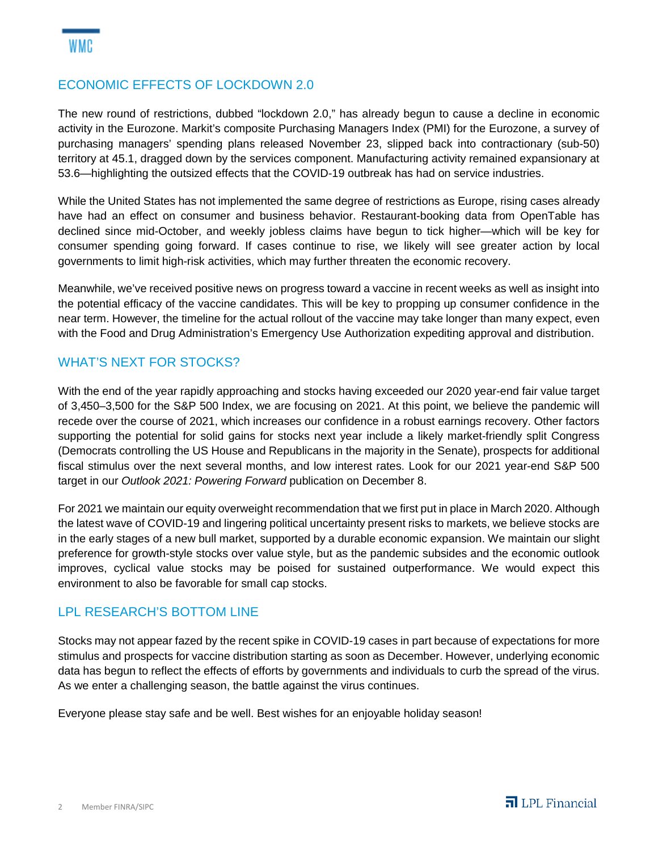# ECONOMIC EFFECTS OF LOCKDOWN 2.0

The new round of restrictions, dubbed "lockdown 2.0," has already begun to cause a decline in economic activity in the Eurozone. Markit's composite Purchasing Managers Index (PMI) for the Eurozone, a survey of purchasing managers' spending plans released November 23, slipped back into contractionary (sub-50) territory at 45.1, dragged down by the services component. Manufacturing activity remained expansionary at 53.6—highlighting the outsized effects that the COVID-19 outbreak has had on service industries.

While the United States has not implemented the same degree of restrictions as Europe, rising cases already have had an effect on consumer and business behavior. Restaurant-booking data from OpenTable has declined since mid-October, and weekly jobless claims have begun to tick higher—which will be key for consumer spending going forward. If cases continue to rise, we likely will see greater action by local governments to limit high-risk activities, which may further threaten the economic recovery.

Meanwhile, we've received positive news on progress toward a vaccine in recent weeks as well as insight into the potential efficacy of the vaccine candidates. This will be key to propping up consumer confidence in the near term. However, the timeline for the actual rollout of the vaccine may take longer than many expect, even with the Food and Drug Administration's Emergency Use Authorization expediting approval and distribution.

# WHAT'S NEXT FOR STOCKS?

With the end of the year rapidly approaching and stocks having exceeded our 2020 year-end fair value target of 3,450–3,500 for the S&P 500 Index, we are focusing on 2021. At this point, we believe the pandemic will recede over the course of 2021, which increases our confidence in a robust earnings recovery. Other factors supporting the potential for solid gains for stocks next year include a likely market-friendly split Congress (Democrats controlling the US House and Republicans in the majority in the Senate), prospects for additional fiscal stimulus over the next several months, and low interest rates. Look for our 2021 year-end S&P 500 target in our *Outlook 2021: Powering Forward* publication on December 8.

For 2021 we maintain our equity overweight recommendation that we first put in place in March 2020. Although the latest wave of COVID-19 and lingering political uncertainty present risks to markets, we believe stocks are in the early stages of a new bull market, supported by a durable economic expansion. We maintain our slight preference for growth-style stocks over value style, but as the pandemic subsides and the economic outlook improves, cyclical value stocks may be poised for sustained outperformance. We would expect this environment to also be favorable for small cap stocks.

# LPL RESEARCH'S BOTTOM LINE

Stocks may not appear fazed by the recent spike in COVID-19 cases in part because of expectations for more stimulus and prospects for vaccine distribution starting as soon as December. However, underlying economic data has begun to reflect the effects of efforts by governments and individuals to curb the spread of the virus. As we enter a challenging season, the battle against the virus continues.

Everyone please stay safe and be well. Best wishes for an enjoyable holiday season!